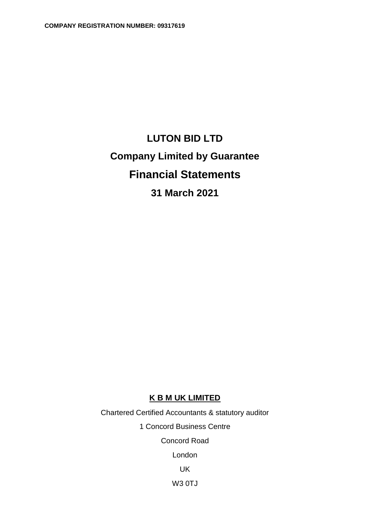# **LUTON BID LTD Company Limited by Guarantee Financial Statements 31 March 2021**

## **K B M UK LIMITED**

Chartered Certified Accountants & statutory auditor 1 Concord Business Centre Concord Road London UK W3 0TJ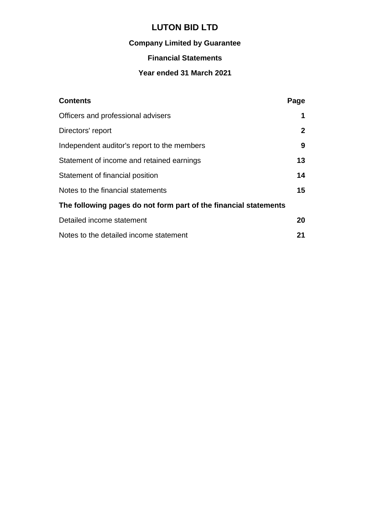## **Company Limited by Guarantee**

## **Financial Statements**

## **Year ended 31 March 2021**

| <b>Contents</b>                                                  | Page         |
|------------------------------------------------------------------|--------------|
| Officers and professional advisers                               | 1            |
| Directors' report                                                | $\mathbf{2}$ |
| Independent auditor's report to the members                      | 9            |
| Statement of income and retained earnings                        | 13           |
| Statement of financial position                                  | 14           |
| Notes to the financial statements                                | 15           |
| The following pages do not form part of the financial statements |              |
| Detailed income statement                                        | 20           |
| Notes to the detailed income statement                           | 21           |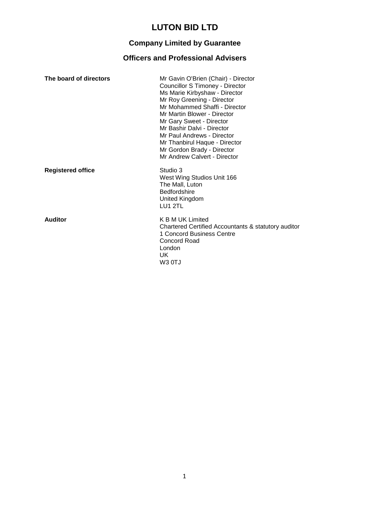## **Company Limited by Guarantee**

## **Officers and Professional Advisers**

| The board of directors   | Mr Gavin O'Brien (Chair) - Director<br>Councillor S Timoney - Director<br>Ms Marie Kirbyshaw - Director<br>Mr Roy Greening - Director<br>Mr Mohammed Shaffi - Director<br>Mr Martin Blower - Director<br>Mr Gary Sweet - Director<br>Mr Bashir Dalvi - Director<br>Mr Paul Andrews - Director<br>Mr Thanbirul Haque - Director<br>Mr Gordon Brady - Director<br>Mr Andrew Calvert - Director |
|--------------------------|----------------------------------------------------------------------------------------------------------------------------------------------------------------------------------------------------------------------------------------------------------------------------------------------------------------------------------------------------------------------------------------------|
| <b>Registered office</b> | Studio 3<br>West Wing Studios Unit 166<br>The Mall, Luton<br><b>Bedfordshire</b><br>United Kingdom<br>LU1 2TL                                                                                                                                                                                                                                                                                |
| <b>Auditor</b>           | K B M UK Limited<br>Chartered Certified Accountants & statutory auditor<br>1 Concord Business Centre<br><b>Concord Road</b><br>London<br>UK.<br>W3 OTJ                                                                                                                                                                                                                                       |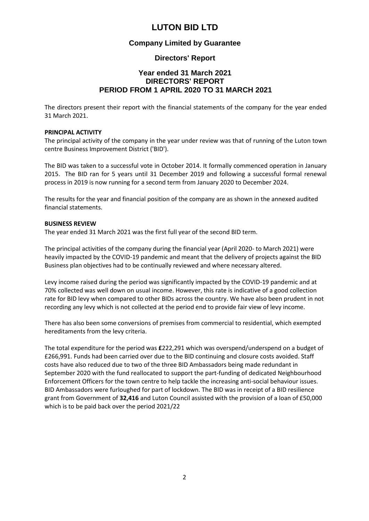### **Company Limited by Guarantee**

### **Directors' Report**

## **Year ended 31 March 2021 DIRECTORS' REPORT PERIOD FROM 1 APRIL 2020 TO 31 MARCH 2021**

The directors present their report with the financial statements of the company for the year ended 31 March 2021.

#### **PRINCIPAL ACTIVITY**

The principal activity of the company in the year under review was that of running of the Luton town centre Business Improvement District ('BID').

The BID was taken to a successful vote in October 2014. It formally commenced operation in January 2015. The BID ran for 5 years until 31 December 2019 and following a successful formal renewal process in 2019 is now running for a second term from January 2020 to December 2024.

The results for the year and financial position of the company are as shown in the annexed audited financial statements.

#### **BUSINESS REVIEW**

The year ended 31 March 2021 was the first full year of the second BID term.

The principal activities of the company during the financial year (April 2020- to March 2021) were heavily impacted by the COVID-19 pandemic and meant that the delivery of projects against the BID Business plan objectives had to be continually reviewed and where necessary altered.

Levy income raised during the period was significantly impacted by the COVID-19 pandemic and at 70% collected was well down on usual income. However, this rate is indicative of a good collection rate for BID levy when compared to other BIDs across the country. We have also been prudent in not recording any levy which is not collected at the period end to provide fair view of levy income.

There has also been some conversions of premises from commercial to residential, which exempted hereditaments from the levy criteria.

The total expenditure for the period was **£**222,291 which was overspend/underspend on a budget of £266,991. Funds had been carried over due to the BID continuing and closure costs avoided. Staff costs have also reduced due to two of the three BID Ambassadors being made redundant in September 2020 with the fund reallocated to support the part-funding of dedicated Neighbourhood Enforcement Officers for the town centre to help tackle the increasing anti-social behaviour issues. BID Ambassadors were furloughed for part of lockdown. The BID was in receipt of a BID resilience grant from Government of **32,416** and Luton Council assisted with the provision of a loan of £50,000 which is to be paid back over the period 2021/22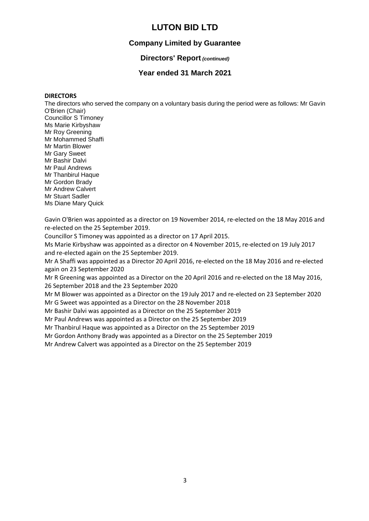## **Company Limited by Guarantee**

### **Directors' Report** *(continued)*

### **Year ended 31 March 2021**

#### **DIRECTORS**

The directors who served the company on a voluntary basis during the period were as follows: Mr Gavin O'Brien (Chair) Councillor S Timoney Ms Marie Kirbyshaw Mr Roy Greening Mr Mohammed Shaffi Mr Martin Blower Mr Gary Sweet Mr Bashir Dalvi Mr Paul Andrews Mr Thanbirul Haque Mr Gordon Brady Mr Andrew Calvert Mr Stuart Sadler Ms Diane Mary Quick

Gavin O'Brien was appointed as a director on 19 November 2014, re-elected on the 18 May 2016 and re-elected on the 25 September 2019.

Councillor S Timoney was appointed as a director on 17 April 2015.

Ms Marie Kirbyshaw was appointed as a director on 4 November 2015, re-elected on 19 July 2017 and re-elected again on the 25 September 2019.

Mr A Shaffi was appointed as a Director 20 April 2016, re-elected on the 18 May 2016 and re-elected again on 23 September 2020

Mr R Greening was appointed as a Director on the 20 April 2016 and re-elected on the 18 May 2016, 26 September 2018 and the 23 September 2020

Mr M Blower was appointed as a Director on the 19 July 2017 and re-elected on 23 September 2020 Mr G Sweet was appointed as a Director on the 28 November 2018

Mr Bashir Dalvi was appointed as a Director on the 25 September 2019

Mr Paul Andrews was appointed as a Director on the 25 September 2019

Mr Thanbirul Haque was appointed as a Director on the 25 September 2019

Mr Gordon Anthony Brady was appointed as a Director on the 25 September 2019

Mr Andrew Calvert was appointed as a Director on the 25 September 2019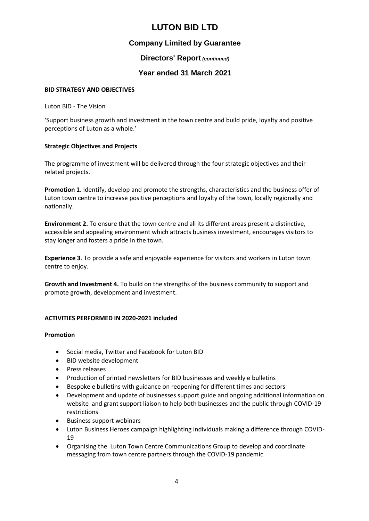## **Company Limited by Guarantee**

### **Directors' Report** *(continued)*

## **Year ended 31 March 2021**

### **BID STRATEGY AND OBJECTIVES**

Luton BID - The Vision

'Support business growth and investment in the town centre and build pride, loyalty and positive perceptions of Luton as a whole.'

### **Strategic Objectives and Projects**

The programme of investment will be delivered through the four strategic objectives and their related projects.

**Promotion 1**. Identify, develop and promote the strengths, characteristics and the business offer of Luton town centre to increase positive perceptions and loyalty of the town, locally regionally and nationally.

**Environment 2.** To ensure that the town centre and all its different areas present a distinctive, accessible and appealing environment which attracts business investment, encourages visitors to stay longer and fosters a pride in the town.

**Experience 3**. To provide a safe and enjoyable experience for visitors and workers in Luton town centre to enjoy.

**Growth and Investment 4.** To build on the strengths of the business community to support and promote growth, development and investment.

### **ACTIVITIES PERFORMED IN 2020-2021 included**

### **Promotion**

- Social media, Twitter and Facebook for Luton BID
- BID website development
- Press releases
- Production of printed newsletters for BID businesses and weekly e bulletins
- Bespoke e bulletins with guidance on reopening for different times and sectors
- Development and update of businesses support guide and ongoing additional information on website and grant support liaison to help both businesses and the public through COVID-19 restrictions
- Business support webinars
- Luton Business Heroes campaign highlighting individuals making a difference through COVID-19
- Organising the Luton Town Centre Communications Group to develop and coordinate messaging from town centre partners through the COVID-19 pandemic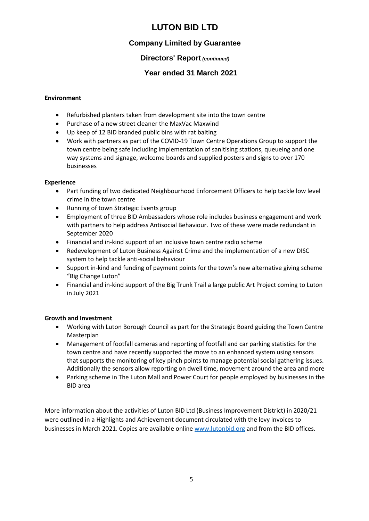## **Company Limited by Guarantee**

## **Directors' Report** *(continued)*

## **Year ended 31 March 2021**

### **Environment**

- Refurbished planters taken from development site into the town centre
- Purchase of a new street cleaner the MaxVac Maxwind
- Up keep of 12 BID branded public bins with rat baiting
- Work with partners as part of the COVID-19 Town Centre Operations Group to support the town centre being safe including implementation of sanitising stations, queueing and one way systems and signage, welcome boards and supplied posters and signs to over 170 businesses

### **Experience**

- Part funding of two dedicated Neighbourhood Enforcement Officers to help tackle low level crime in the town centre
- Running of town Strategic Events group
- Employment of three BID Ambassadors whose role includes business engagement and work with partners to help address Antisocial Behaviour. Two of these were made redundant in September 2020
- Financial and in-kind support of an inclusive town centre radio scheme
- Redevelopment of Luton Business Against Crime and the implementation of a new DISC system to help tackle anti-social behaviour
- Support in-kind and funding of payment points for the town's new alternative giving scheme "Big Change Luton"
- Financial and in-kind support of the Big Trunk Trail a large public Art Project coming to Luton in July 2021

### **Growth and Investment**

- Working with Luton Borough Council as part for the Strategic Board guiding the Town Centre Masterplan
- Management of footfall cameras and reporting of footfall and car parking statistics for the town centre and have recently supported the move to an enhanced system using sensors that supports the monitoring of key pinch points to manage potential social gathering issues. Additionally the sensors allow reporting on dwell time, movement around the area and more
- Parking scheme in The Luton Mall and Power Court for people employed by businesses in the BID area

More information about the activities of Luton BID Ltd (Business Improvement District) in 2020/21 were outlined in a Highlights and Achievement document circulated with the levy invoices to businesses in March 2021. Copies are available online [www.lutonbid.org](http://www.lutonbid.org/) and from the BID offices.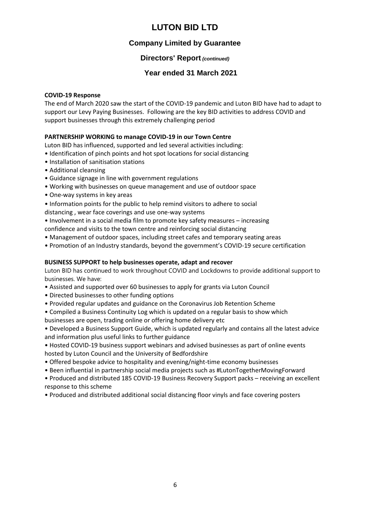## **Company Limited by Guarantee**

## **Directors' Report** *(continued)*

## **Year ended 31 March 2021**

#### **COVID-19 Response**

The end of March 2020 saw the start of the COVID-19 pandemic and Luton BID have had to adapt to support our Levy Paying Businesses. Following are the key BID activities to address COVID and support businesses through this extremely challenging period

### **PARTNERSHIP WORKING to manage COVID-19 in our Town Centre**

Luton BID has influenced, supported and led several activities including:

- Identification of pinch points and hot spot locations for social distancing
- Installation of sanitisation stations
- Additional cleansing
- Guidance signage in line with government regulations
- Working with businesses on queue management and use of outdoor space
- One-way systems in key areas
- Information points for the public to help remind visitors to adhere to social distancing , wear face coverings and use one-way systems
- Involvement in a social media film to promote key safety measures increasing
- confidence and visits to the town centre and reinforcing social distancing
- Management of outdoor spaces, including street cafes and temporary seating areas
- Promotion of an Industry standards, beyond the government's COVID-19 secure certification

#### **BUSINESS SUPPORT to help businesses operate, adapt and recover**

Luton BID has continued to work throughout COVID and Lockdowns to provide additional support to businesses. We have:

- Assisted and supported over 60 businesses to apply for grants via Luton Council
- Directed businesses to other funding options
- Provided regular updates and guidance on the Coronavirus Job Retention Scheme
- Compiled a Business Continuity Log which is updated on a regular basis to show which businesses are open, trading online or offering home delivery etc

• Developed a Business Support Guide, which is updated regularly and contains all the latest advice and information plus useful links to further guidance

• Hosted COVID-19 business support webinars and advised businesses as part of online events hosted by Luton Council and the University of Bedfordshire

- Offered bespoke advice to hospitality and evening/night-time economy businesses
- Been influential in partnership social media projects such as #LutonTogetherMovingForward

• Produced and distributed 185 COVID-19 Business Recovery Support packs – receiving an excellent response to this scheme

• Produced and distributed additional social distancing floor vinyls and face covering posters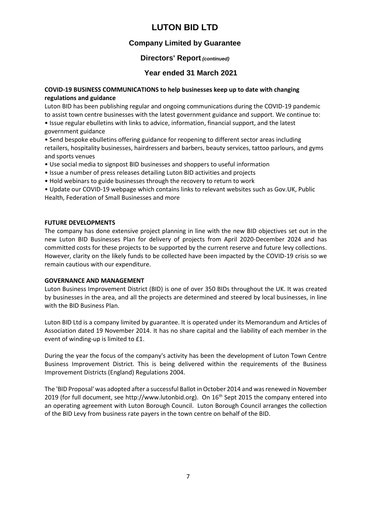## **Company Limited by Guarantee**

### **Directors' Report** *(continued)*

## **Year ended 31 March 2021**

### **COVID-19 BUSINESS COMMUNICATIONS to help businesses keep up to date with changing regulations and guidance**

Luton BID has been publishing regular and ongoing communications during the COVID-19 pandemic to assist town centre businesses with the latest government guidance and support. We continue to:

• Issue regular ebulletins with links to advice, information, financial support, and the latest government guidance

• Send bespoke ebulletins offering guidance for reopening to different sector areas including retailers, hospitality businesses, hairdressers and barbers, beauty services, tattoo parlours, and gyms and sports venues

- Use social media to signpost BID businesses and shoppers to useful information
- Issue a number of press releases detailing Luton BID activities and projects
- Hold webinars to guide businesses through the recovery to return to work

• Update our COVID-19 webpage which contains links to relevant websites such as Gov.UK, Public Health, Federation of Small Businesses and more

### **FUTURE DEVELOPMENTS**

The company has done extensive project planning in line with the new BID objectives set out in the new Luton BID Businesses Plan for delivery of projects from April 2020-December 2024 and has committed costs for these projects to be supported by the current reserve and future levy collections. However, clarity on the likely funds to be collected have been impacted by the COVID-19 crisis so we remain cautious with our expenditure.

#### **GOVERNANCE AND MANAGEMENT**

Luton Business Improvement District (BID) is one of over 350 BIDs throughout the UK. It was created by businesses in the area, and all the projects are determined and steered by local businesses, in line with the BID Business Plan.

Luton BID Ltd is a company limited by guarantee. It is operated under its Memorandum and Articles of Association dated 19 November 2014. It has no share capital and the liability of each member in the event of winding-up is limited to £1.

During the year the focus of the company's activity has been the development of Luton Town Centre Business Improvement District. This is being delivered within the requirements of the Business Improvement Districts (England) Regulations 2004.

The 'BID Proposal' was adopted after a successful Ballot in October 2014 and was renewed in November 2019 (for full document, see http://www.lutonbid.org). On 16<sup>th</sup> Sept 2015 the company entered into an operating agreement with Luton Borough Council. Luton Borough Council arranges the collection of the BID Levy from business rate payers in the town centre on behalf of the BID.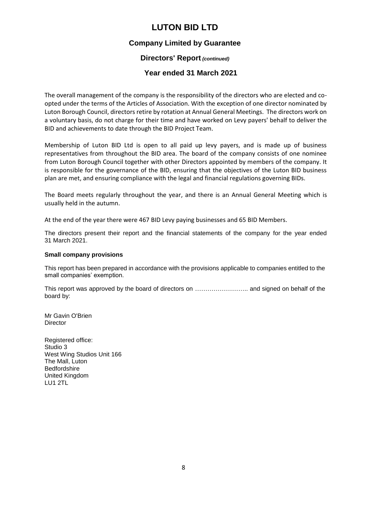### **Company Limited by Guarantee**

### **Directors' Report** *(continued)*

### **Year ended 31 March 2021**

The overall management of the company is the responsibility of the directors who are elected and coopted under the terms of the Articles of Association. With the exception of one director nominated by Luton Borough Council, directors retire by rotation at Annual General Meetings. The directors work on a voluntary basis, do not charge for their time and have worked on Levy payers' behalf to deliver the BID and achievements to date through the BID Project Team.

Membership of Luton BID Ltd is open to all paid up levy payers, and is made up of business representatives from throughout the BID area. The board of the company consists of one nominee from Luton Borough Council together with other Directors appointed by members of the company. It is responsible for the governance of the BID, ensuring that the objectives of the Luton BID business plan are met, and ensuring compliance with the legal and financial regulations governing BIDs.

The Board meets regularly throughout the year, and there is an Annual General Meeting which is usually held in the autumn.

At the end of the year there were 467 BID Levy paying businesses and 65 BID Members.

The directors present their report and the financial statements of the company for the year ended 31 March 2021.

#### **Small company provisions**

This report has been prepared in accordance with the provisions applicable to companies entitled to the small companies' exemption.

This report was approved by the board of directors on …………………….. and signed on behalf of the board by:

Mr Gavin O'Brien **Director** 

Registered office: Studio 3 West Wing Studios Unit 166 The Mall, Luton Bedfordshire United Kingdom LU1 2TL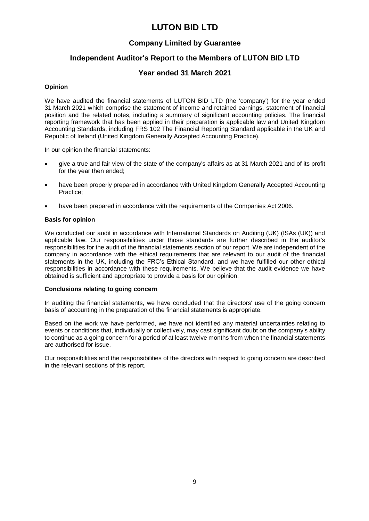## **Company Limited by Guarantee**

## **Independent Auditor's Report to the Members of LUTON BID LTD**

### **Year ended 31 March 2021**

#### **Opinion**

We have audited the financial statements of LUTON BID LTD (the 'company') for the year ended 31 March 2021 which comprise the statement of income and retained earnings, statement of financial position and the related notes, including a summary of significant accounting policies. The financial reporting framework that has been applied in their preparation is applicable law and United Kingdom Accounting Standards, including FRS 102 The Financial Reporting Standard applicable in the UK and Republic of Ireland (United Kingdom Generally Accepted Accounting Practice).

In our opinion the financial statements:

- give a true and fair view of the state of the company's affairs as at 31 March 2021 and of its profit for the year then ended;
- have been properly prepared in accordance with United Kingdom Generally Accepted Accounting Practice;
- have been prepared in accordance with the requirements of the Companies Act 2006.

#### **Basis for opinion**

We conducted our audit in accordance with International Standards on Auditing (UK) (ISAs (UK)) and applicable law. Our responsibilities under those standards are further described in the auditor's responsibilities for the audit of the financial statements section of our report. We are independent of the company in accordance with the ethical requirements that are relevant to our audit of the financial statements in the UK, including the FRC's Ethical Standard, and we have fulfilled our other ethical responsibilities in accordance with these requirements. We believe that the audit evidence we have obtained is sufficient and appropriate to provide a basis for our opinion.

#### **Conclusions relating to going concern**

In auditing the financial statements, we have concluded that the directors' use of the going concern basis of accounting in the preparation of the financial statements is appropriate.

Based on the work we have performed, we have not identified any material uncertainties relating to events or conditions that, individually or collectively, may cast significant doubt on the company's ability to continue as a going concern for a period of at least twelve months from when the financial statements are authorised for issue.

Our responsibilities and the responsibilities of the directors with respect to going concern are described in the relevant sections of this report.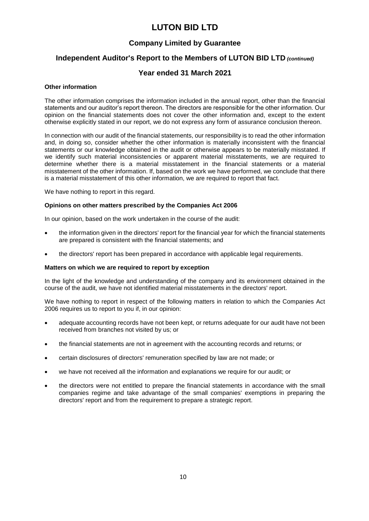## **Company Limited by Guarantee**

## **Independent Auditor's Report to the Members of LUTON BID LTD** *(continued)*

### **Year ended 31 March 2021**

#### **Other information**

The other information comprises the information included in the annual report, other than the financial statements and our auditor's report thereon. The directors are responsible for the other information. Our opinion on the financial statements does not cover the other information and, except to the extent otherwise explicitly stated in our report, we do not express any form of assurance conclusion thereon.

In connection with our audit of the financial statements, our responsibility is to read the other information and, in doing so, consider whether the other information is materially inconsistent with the financial statements or our knowledge obtained in the audit or otherwise appears to be materially misstated. If we identify such material inconsistencies or apparent material misstatements, we are required to determine whether there is a material misstatement in the financial statements or a material misstatement of the other information. If, based on the work we have performed, we conclude that there is a material misstatement of this other information, we are required to report that fact.

We have nothing to report in this regard.

#### **Opinions on other matters prescribed by the Companies Act 2006**

In our opinion, based on the work undertaken in the course of the audit:

- the information given in the directors' report for the financial year for which the financial statements are prepared is consistent with the financial statements; and
- the directors' report has been prepared in accordance with applicable legal requirements.

#### **Matters on which we are required to report by exception**

In the light of the knowledge and understanding of the company and its environment obtained in the course of the audit, we have not identified material misstatements in the directors' report.

We have nothing to report in respect of the following matters in relation to which the Companies Act 2006 requires us to report to you if, in our opinion:

- adequate accounting records have not been kept, or returns adequate for our audit have not been received from branches not visited by us; or
- the financial statements are not in agreement with the accounting records and returns; or
- certain disclosures of directors' remuneration specified by law are not made; or
- we have not received all the information and explanations we require for our audit; or
- the directors were not entitled to prepare the financial statements in accordance with the small companies regime and take advantage of the small companies' exemptions in preparing the directors' report and from the requirement to prepare a strategic report.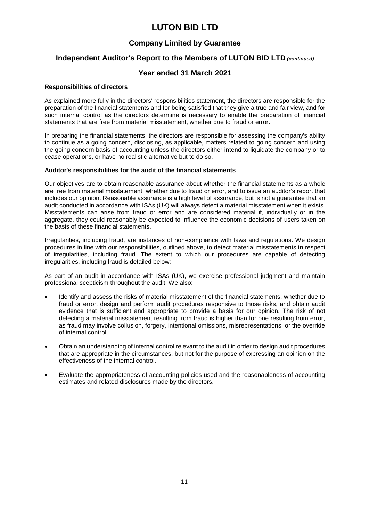## **Company Limited by Guarantee**

## **Independent Auditor's Report to the Members of LUTON BID LTD** *(continued)*

### **Year ended 31 March 2021**

#### **Responsibilities of directors**

As explained more fully in the directors' responsibilities statement, the directors are responsible for the preparation of the financial statements and for being satisfied that they give a true and fair view, and for such internal control as the directors determine is necessary to enable the preparation of financial statements that are free from material misstatement, whether due to fraud or error.

In preparing the financial statements, the directors are responsible for assessing the company's ability to continue as a going concern, disclosing, as applicable, matters related to going concern and using the going concern basis of accounting unless the directors either intend to liquidate the company or to cease operations, or have no realistic alternative but to do so.

#### **Auditor's responsibilities for the audit of the financial statements**

Our objectives are to obtain reasonable assurance about whether the financial statements as a whole are free from material misstatement, whether due to fraud or error, and to issue an auditor's report that includes our opinion. Reasonable assurance is a high level of assurance, but is not a guarantee that an audit conducted in accordance with ISAs (UK) will always detect a material misstatement when it exists. Misstatements can arise from fraud or error and are considered material if, individually or in the aggregate, they could reasonably be expected to influence the economic decisions of users taken on the basis of these financial statements.

Irregularities, including fraud, are instances of non-compliance with laws and regulations. We design procedures in line with our responsibilities, outlined above, to detect material misstatements in respect of irregularities, including fraud. The extent to which our procedures are capable of detecting irregularities, including fraud is detailed below:

As part of an audit in accordance with ISAs (UK), we exercise professional judgment and maintain professional scepticism throughout the audit. We also:

- Identify and assess the risks of material misstatement of the financial statements, whether due to fraud or error, design and perform audit procedures responsive to those risks, and obtain audit evidence that is sufficient and appropriate to provide a basis for our opinion. The risk of not detecting a material misstatement resulting from fraud is higher than for one resulting from error, as fraud may involve collusion, forgery, intentional omissions, misrepresentations, or the override of internal control.
- Obtain an understanding of internal control relevant to the audit in order to design audit procedures that are appropriate in the circumstances, but not for the purpose of expressing an opinion on the effectiveness of the internal control.
- Evaluate the appropriateness of accounting policies used and the reasonableness of accounting estimates and related disclosures made by the directors.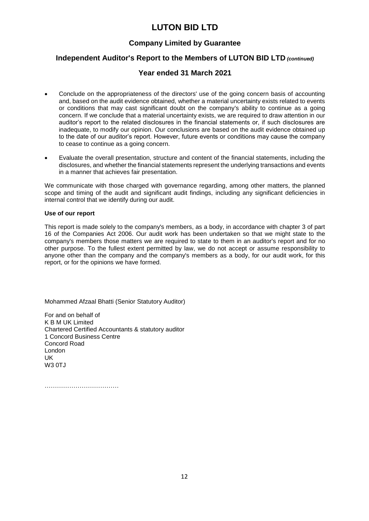## **Company Limited by Guarantee**

## **Independent Auditor's Report to the Members of LUTON BID LTD** *(continued)*

### **Year ended 31 March 2021**

- Conclude on the appropriateness of the directors' use of the going concern basis of accounting and, based on the audit evidence obtained, whether a material uncertainty exists related to events or conditions that may cast significant doubt on the company's ability to continue as a going concern. If we conclude that a material uncertainty exists, we are required to draw attention in our auditor's report to the related disclosures in the financial statements or, if such disclosures are inadequate, to modify our opinion. Our conclusions are based on the audit evidence obtained up to the date of our auditor's report. However, future events or conditions may cause the company to cease to continue as a going concern.
- Evaluate the overall presentation, structure and content of the financial statements, including the disclosures, and whether the financial statements represent the underlying transactions and events in a manner that achieves fair presentation.

We communicate with those charged with governance regarding, among other matters, the planned scope and timing of the audit and significant audit findings, including any significant deficiencies in internal control that we identify during our audit.

#### **Use of our report**

This report is made solely to the company's members, as a body, in accordance with chapter 3 of part 16 of the Companies Act 2006. Our audit work has been undertaken so that we might state to the company's members those matters we are required to state to them in an auditor's report and for no other purpose. To the fullest extent permitted by law, we do not accept or assume responsibility to anyone other than the company and the company's members as a body, for our audit work, for this report, or for the opinions we have formed.

Mohammed Afzaal Bhatti (Senior Statutory Auditor)

For and on behalf of K B M UK Limited Chartered Certified Accountants & statutory auditor 1 Concord Business Centre Concord Road London UK  $W3$   $0T<sub>0</sub>$ 

………………………………………………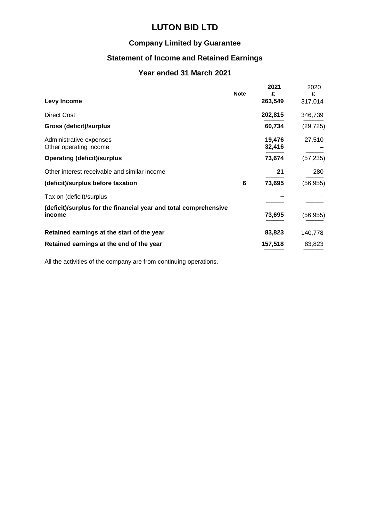## **Company Limited by Guarantee**

## **Statement of Income and Retained Earnings**

## **Year ended 31 March 2021**

| Levy Income                                                                | <b>Note</b> | 2021<br>£<br>263,549 | 2020<br>£<br>317,014 |
|----------------------------------------------------------------------------|-------------|----------------------|----------------------|
| <b>Direct Cost</b>                                                         |             | 202,815              | 346,739              |
| <b>Gross (deficit)/surplus</b>                                             |             | 60,734               | (29, 725)            |
| Administrative expenses<br>Other operating income                          |             | 19,476<br>32,416     | 27,510               |
| <b>Operating (deficit)/surplus</b>                                         |             | 73,674               | (57, 235)            |
| Other interest receivable and similar income                               |             | 21                   | 280                  |
| (deficit)/surplus before taxation                                          | 6           | 73,695               | (56, 955)            |
| Tax on (deficit)/surplus                                                   |             |                      |                      |
| (deficit)/surplus for the financial year and total comprehensive<br>income |             | 73,695               | (56, 955)            |
| Retained earnings at the start of the year                                 |             | 83,823               | 140,778              |
| Retained earnings at the end of the year                                   |             | 157,518              | 83,823               |

All the activities of the company are from continuing operations.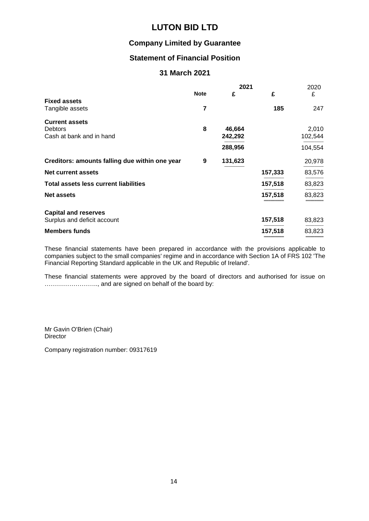## **Company Limited by Guarantee**

## **Statement of Financial Position**

## **31 March 2021**

|                                                                     |             | 2021              |         | 2020             |
|---------------------------------------------------------------------|-------------|-------------------|---------|------------------|
|                                                                     | <b>Note</b> | £                 | £       | £                |
| <b>Fixed assets</b><br>Tangible assets                              | 7           |                   | 185     | 247              |
| <b>Current assets</b><br><b>Debtors</b><br>Cash at bank and in hand | 8           | 46,664<br>242,292 |         | 2,010<br>102,544 |
|                                                                     |             | 288,956           |         | 104,554          |
| Creditors: amounts falling due within one year                      | 9           | 131,623           |         | 20,978           |
| <b>Net current assets</b>                                           |             |                   | 157,333 | 83,576           |
| <b>Total assets less current liabilities</b>                        |             |                   | 157,518 | 83,823           |
| <b>Net assets</b>                                                   |             |                   | 157,518 | 83,823           |
| <b>Capital and reserves</b>                                         |             |                   |         |                  |
| Surplus and deficit account                                         |             |                   | 157,518 | 83,823           |
| <b>Members funds</b>                                                |             |                   | 157,518 | 83,823           |

These financial statements have been prepared in accordance with the provisions applicable to companies subject to the small companies' regime and in accordance with Section 1A of FRS 102 'The Financial Reporting Standard applicable in the UK and Republic of Ireland'.

These financial statements were approved by the board of directors and authorised for issue on …………………….., and are signed on behalf of the board by:

Mr Gavin O'Brien (Chair) **Director** 

Company registration number: 09317619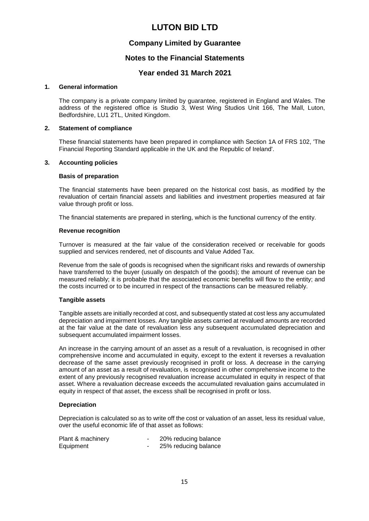## **Company Limited by Guarantee**

### **Notes to the Financial Statements**

### **Year ended 31 March 2021**

#### **1. General information**

The company is a private company limited by guarantee, registered in England and Wales. The address of the registered office is Studio 3, West Wing Studios Unit 166, The Mall, Luton, Bedfordshire, LU1 2TL, United Kingdom.

#### **2. Statement of compliance**

These financial statements have been prepared in compliance with Section 1A of FRS 102, 'The Financial Reporting Standard applicable in the UK and the Republic of Ireland'.

#### **3. Accounting policies**

#### **Basis of preparation**

The financial statements have been prepared on the historical cost basis, as modified by the revaluation of certain financial assets and liabilities and investment properties measured at fair value through profit or loss.

The financial statements are prepared in sterling, which is the functional currency of the entity.

#### **Revenue recognition**

Turnover is measured at the fair value of the consideration received or receivable for goods supplied and services rendered, net of discounts and Value Added Tax.

Revenue from the sale of goods is recognised when the significant risks and rewards of ownership have transferred to the buyer (usually on despatch of the goods); the amount of revenue can be measured reliably; it is probable that the associated economic benefits will flow to the entity; and the costs incurred or to be incurred in respect of the transactions can be measured reliably.

#### **Tangible assets**

Tangible assets are initially recorded at cost, and subsequently stated at cost less any accumulated depreciation and impairment losses. Any tangible assets carried at revalued amounts are recorded at the fair value at the date of revaluation less any subsequent accumulated depreciation and subsequent accumulated impairment losses.

An increase in the carrying amount of an asset as a result of a revaluation, is recognised in other comprehensive income and accumulated in equity, except to the extent it reverses a revaluation decrease of the same asset previously recognised in profit or loss. A decrease in the carrying amount of an asset as a result of revaluation, is recognised in other comprehensive income to the extent of any previously recognised revaluation increase accumulated in equity in respect of that asset. Where a revaluation decrease exceeds the accumulated revaluation gains accumulated in equity in respect of that asset, the excess shall be recognised in profit or loss.

#### **Depreciation**

Depreciation is calculated so as to write off the cost or valuation of an asset, less its residual value, over the useful economic life of that asset as follows:

| Plant & machinery | 20% reducing balance |
|-------------------|----------------------|
| Equipment         | 25% reducing balance |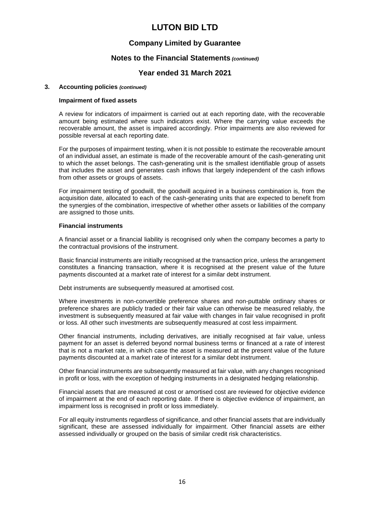## **Company Limited by Guarantee**

### **Notes to the Financial Statements** *(continued)*

### **Year ended 31 March 2021**

#### **3. Accounting policies** *(continued)*

#### **Impairment of fixed assets**

A review for indicators of impairment is carried out at each reporting date, with the recoverable amount being estimated where such indicators exist. Where the carrying value exceeds the recoverable amount, the asset is impaired accordingly. Prior impairments are also reviewed for possible reversal at each reporting date.

For the purposes of impairment testing, when it is not possible to estimate the recoverable amount of an individual asset, an estimate is made of the recoverable amount of the cash-generating unit to which the asset belongs. The cash-generating unit is the smallest identifiable group of assets that includes the asset and generates cash inflows that largely independent of the cash inflows from other assets or groups of assets.

For impairment testing of goodwill, the goodwill acquired in a business combination is, from the acquisition date, allocated to each of the cash-generating units that are expected to benefit from the synergies of the combination, irrespective of whether other assets or liabilities of the company are assigned to those units.

#### **Financial instruments**

A financial asset or a financial liability is recognised only when the company becomes a party to the contractual provisions of the instrument.

Basic financial instruments are initially recognised at the transaction price, unless the arrangement constitutes a financing transaction, where it is recognised at the present value of the future payments discounted at a market rate of interest for a similar debt instrument.

Debt instruments are subsequently measured at amortised cost.

Where investments in non-convertible preference shares and non-puttable ordinary shares or preference shares are publicly traded or their fair value can otherwise be measured reliably, the investment is subsequently measured at fair value with changes in fair value recognised in profit or loss. All other such investments are subsequently measured at cost less impairment.

Other financial instruments, including derivatives, are initially recognised at fair value, unless payment for an asset is deferred beyond normal business terms or financed at a rate of interest that is not a market rate, in which case the asset is measured at the present value of the future payments discounted at a market rate of interest for a similar debt instrument.

Other financial instruments are subsequently measured at fair value, with any changes recognised in profit or loss, with the exception of hedging instruments in a designated hedging relationship.

Financial assets that are measured at cost or amortised cost are reviewed for objective evidence of impairment at the end of each reporting date. If there is objective evidence of impairment, an impairment loss is recognised in profit or loss immediately.

For all equity instruments regardless of significance, and other financial assets that are individually significant, these are assessed individually for impairment. Other financial assets are either assessed individually or grouped on the basis of similar credit risk characteristics.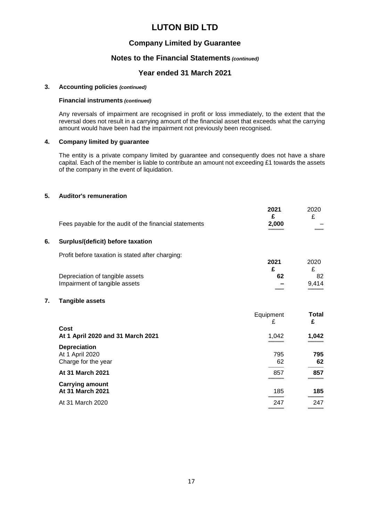## **Company Limited by Guarantee**

## **Notes to the Financial Statements** *(continued)*

### **Year ended 31 March 2021**

#### **3. Accounting policies** *(continued)*

#### **Financial instruments** *(continued)*

Any reversals of impairment are recognised in profit or loss immediately, to the extent that the reversal does not result in a carrying amount of the financial asset that exceeds what the carrying amount would have been had the impairment not previously been recognised.

#### **4. Company limited by guarantee**

The entity is a private company limited by guarantee and consequently does not have a share capital. Each of the member is liable to contribute an amount not exceeding £1 towards the assets of the company in the event of liquidation.

#### **5. Auditor's remuneration**

|    | Fees payable for the audit of the financial statements           | 2021<br>£<br>2,000 | 2020<br>£   |
|----|------------------------------------------------------------------|--------------------|-------------|
| 6. | Surplus/(deficit) before taxation                                |                    |             |
|    | Profit before taxation is stated after charging:                 | 2021<br>£          | 2020<br>£   |
|    | Depreciation of tangible assets<br>Impairment of tangible assets | 62                 | 82<br>9,414 |
| 7. | <b>Tangible assets</b>                                           |                    |             |
|    |                                                                  | Equipment          | Total       |

|                                   | $-$ quipulous<br>£ | .<br>£        |
|-----------------------------------|--------------------|---------------|
| Cost                              |                    |               |
| At 1 April 2020 and 31 March 2021 | 1,042              | 1,042         |
| <b>Depreciation</b>               |                    |               |
| At 1 April 2020                   | 795                | 795           |
| Charge for the year               | 62                 | 62            |
| At 31 March 2021                  | 857                | 857           |
| <b>Carrying amount</b>            |                    |               |
| At 31 March 2021                  | 185                | 185           |
|                                   |                    | _____         |
| At 31 March 2020                  | 247                | 247<br>------ |
|                                   |                    |               |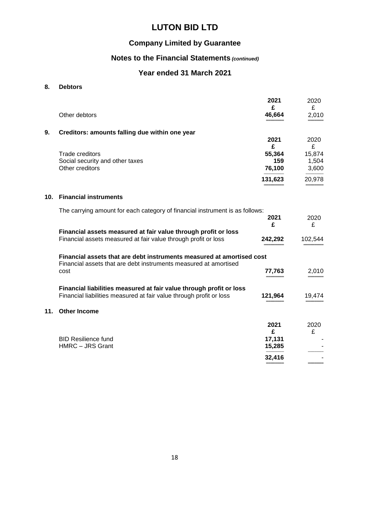## **Company Limited by Guarantee**

## **Notes to the Financial Statements** *(continued)*

## **Year ended 31 March 2021**

### **8. Debtors**

|     |                                                                                                                                           | 2021<br>£     | 2020<br>£      |
|-----|-------------------------------------------------------------------------------------------------------------------------------------------|---------------|----------------|
|     | Other debtors                                                                                                                             | 46,664        | 2,010          |
| 9.  | Creditors: amounts falling due within one year                                                                                            |               |                |
|     |                                                                                                                                           | 2021<br>£     | 2020<br>£      |
|     | <b>Trade creditors</b>                                                                                                                    | 55,364        | 15,874         |
|     | Social security and other taxes<br>Other creditors                                                                                        | 159<br>76,100 | 1,504<br>3,600 |
|     |                                                                                                                                           | 131,623       | 20,978         |
| 10. | <b>Financial instruments</b>                                                                                                              |               |                |
|     | The carrying amount for each category of financial instrument is as follows:                                                              |               |                |
|     |                                                                                                                                           | 2021<br>£     | 2020<br>£      |
|     | Financial assets measured at fair value through profit or loss                                                                            |               |                |
|     | Financial assets measured at fair value through profit or loss                                                                            | 242,292       | 102,544        |
|     | Financial assets that are debt instruments measured at amortised cost<br>Financial assets that are debt instruments measured at amortised |               |                |
|     | cost                                                                                                                                      | 77,763        | 2,010          |
|     | Financial liabilities measured at fair value through profit or loss                                                                       |               |                |
|     | Financial liabilities measured at fair value through profit or loss                                                                       | 121,964       | 19,474         |
| 11. | <b>Other Income</b>                                                                                                                       |               |                |
|     |                                                                                                                                           | 2021          | 2020           |
|     | <b>BID Resilience fund</b>                                                                                                                | £<br>17,131   | £              |
|     | HMRC - JRS Grant                                                                                                                          | 15,285        |                |
|     |                                                                                                                                           | 32,416        |                |
|     |                                                                                                                                           |               |                |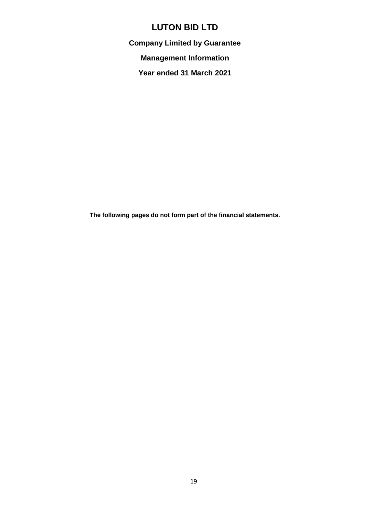**Company Limited by Guarantee**

**Management Information**

**Year ended 31 March 2021**

**The following pages do not form part of the financial statements.**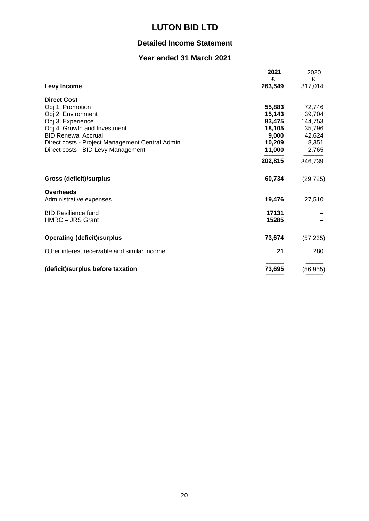## **Detailed Income Statement**

## **Year ended 31 March 2021**

|                                                 | 2021         | 2020         |
|-------------------------------------------------|--------------|--------------|
| Levy Income                                     | £<br>263,549 | £<br>317,014 |
| <b>Direct Cost</b>                              |              |              |
| Obj 1: Promotion                                | 55,883       | 72,746       |
| Obj 2: Environment                              | 15,143       | 39,704       |
| Obj 3: Experience                               | 83,475       | 144,753      |
| Obj 4: Growth and Investment                    | 18,105       | 35,796       |
| <b>BID Renewal Accrual</b>                      | 9,000        | 42,624       |
| Direct costs - Project Management Central Admin | 10,209       | 8,351        |
| Direct costs - BID Levy Management              | 11,000       | 2,765        |
|                                                 | 202,815      | 346,739      |
| <b>Gross (deficit)/surplus</b>                  | 60,734       | (29, 725)    |
| Overheads                                       |              |              |
| Administrative expenses                         | 19,476       | 27,510       |
| <b>BID Resilience fund</b>                      | 17131        |              |
| HMRC - JRS Grant                                | 15285        |              |
| <b>Operating (deficit)/surplus</b>              | 73,674       | (57, 235)    |
|                                                 |              |              |
| Other interest receivable and similar income    | 21           | 280          |
| (deficit)/surplus before taxation               | 73,695       | (56, 955)    |
|                                                 |              |              |